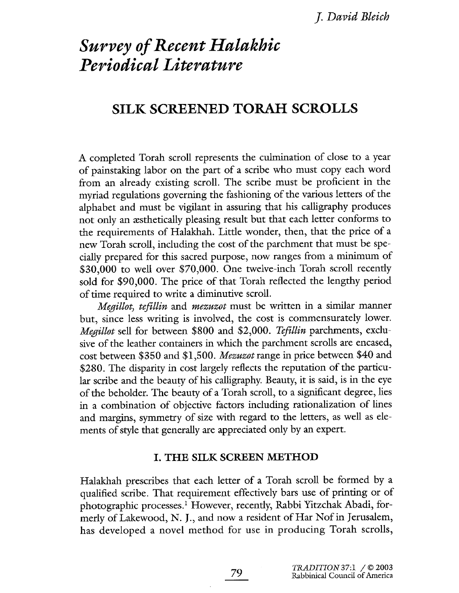# Survey of Recent Halakhic Periodical Literature

# SILK SCREENED TORAH SCROLLS

A completed Torah scroll represents the culmiation of close to a year of painstakng labor on the part of a scribe who must copy each word from an already existing scroll. The scribe must be proficient in the myriad regulations governing the fashioning of the various letters of the alphabet and must be vigilant in assuring that his calligraphy produces not only an æsthetically pleasing result but that each letter conforms to the requirements of Halakhah. Little wonder, then, that the price of a new Torah scroll, including the cost of the parchment that must be specially prepared for this sacred purpose, now ranges from a minimum of \$30,000 to well over \$70,000. One twelve-inch Torah scroll recently sold for \$90,000. The price of that Torah reflected the lengthy period of time required to write a dimiutive scroll.

Megillot, tefillin and mezuzot must be written in a similar manner but, since less writing is involved, the cost is commensurately lower. Megillot sell for between \$800 and \$2,000. Tefillin parchments, exclusive of the leather containers in which the parchment scrolls are encased, cost between \$350 and \$1,500. Mezuzot range in price between \$40 and \$280. The disparity in cost largely reflects the reputation of the particular scribe and the beauty of his calligraphy. Beauty, it is said, is in the eye of the beholder. The beauty of a Torah scroll, to a significant degree, lies in a combination of objective factors including rationalzation of lines and margis, symmetry of size with regard to the letters, as well as elements of style that generaly are appreciated only by an expert.

#### I. THE SILK SCREEN METHOD

Halakah prescribes that each letter of a Torah scroll be formed by a qualified scribe. That requirement effectively bars use of printing or of photographic processes.<sup>1</sup> However, recently, Rabbi Yitzchak Abadi, formerly of Lakewood, N. J., and now a resident of Har Nof in Jerusalem, has developed a novel method for use in producing Torah scrolls,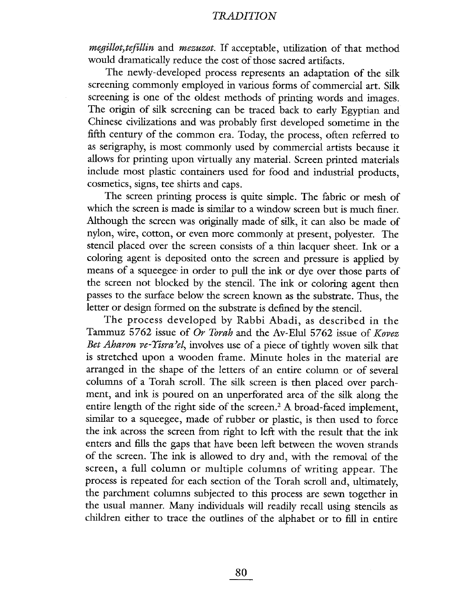*megillot, tefillin* and *mezuzot*. If acceptable, utilization of that method would dramaticaly reduce the cost of those sacred artifacts.

The newly-developed process represents an adaptation of the silk screening commonly employed in various forms of commercial art. Sil screenig is one of the oldest methods of printing words and images. The origin of silk screening can be traced back to early Egyptian and Chinese civilizations and was probably first developed sometime in the fifth century of the common era. Today, the process, often referred to as serigraphy, is most commonly used by commercial artists because it allows for printing upon virtually any material. Screen printed materials include most plastic containers used for food and industrial products, cosmetics, signs, tee shirts and caps.

The screen printing process is quite simple. The fabric or mesh of which the screen is made is similar to a window screen but is much finer. Although the screen was originally made of silk, it can also be made of nylon, wie, cotton, or even more commonly at present, polyester. The stencil placed over the screen consists of a thin lacquer sheet. Ink or a coloring agent is deposited onto the screen and pressure is applied by means of a squeegee in order to pull the ink or dye over those parts of the screen not blocked by the stencil. The ink or coloring agent then passes to the surface below the screen known as the substrate. Thus, the letter or design formed on the substrate is defined by the stencil.

The process developed by Rabbi Abadi, as described in the Tammuz 5762 issue of Or Torah and the Av-Elul 5762 issue of  $Kopez$ Bet Aharon ve-Yisra'el, involves use of a piece of tightly woven silk that is stretched upon a wooden frame. Minute holes in the material are arranged in the shape of the letters of an entire column or of several columns of a Torah scrolL. The silk screen is then placed over parchment, and ink is poured on an unperforated area of the silk along the entire length of the right side of the screen.<sup>2</sup> A broad-faced implement, similar to a squeegee, made of rubber or plastic, is then used to force the ink across the screen from right to left with the result that the ink enters and fills the gaps that have been left between the woven strands of the screen. The ink is allowed to dry and, with the removal of the screen, a full column or multiple columns of writing appear. The process is repeated for each section of the Torah scroll and, ultimately, the parchment columns subjected to this process are sewn together in the usual manner. Many individuals will readily recall using stencils as children either to trace the outlines of the alphabet or to fill in entire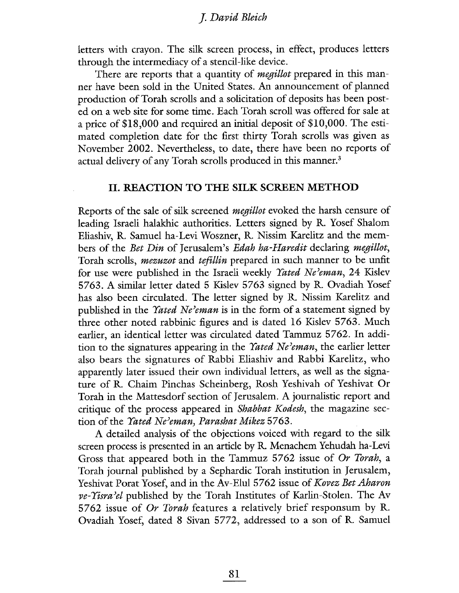letters with crayon. The silk screen process, in effect, produces letters through the intermediacy of a stencil-like device.

There are reports that a quantity of *megillot* prepared in this manner have been sold in the United States. An anouncement of planed production of Torah scrolls and a solicitation of deposits has been posted on a web site for some time. Each Torah scroll was offered for sale at a price of \$18,000 and required an intial deposit of \$10,000. The estimated completion date for the first thirty Torah scrolls was given as November 2002. Nevertheless, to date, there have been no reports of actual delivery of any Torah scrolls produced in this manner. $^{\text{\text{\textit{3}}}}$ 

#### II. REACTION TO THE SILK SCREEN METHOD

Reports of the sale of silk screened *megillot* evoked the harsh censure of leading Israeli halakhic authorities. Letters signed by R. Yosef Shalom Eliashiv, R. Samuel ha-Levi Woszner, R. Nissim Karelitz and the members of the *Bet Din* of Jerusalem's *Edah ha-Haredit* declaring *megillot*, Torah scrolls, *mezuzot* and *tefillin* prepared in such manner to be unfit for use were published in the Israeli weekly *Yated Ne'eman*, 24 Kislev 5763. A similar letter dated 5 KIslev 5763 signed by R. Ovadiah Yosef has also been circulated. The letter signed by R. Nissim Karelitz and published in the *Yated Ne'eman* is in the form of a statement signed by three other noted rabbinic figures and is dated 16 Kislev 5763. Much earlier, an identical letter was circulated dated Tammuz 5762. In addition to the signatures appearing in the Yated Ne'eman, the earlier letter also bears the signatures of Rabbi Eliashiv and Rabbi Karelitz, who apparently later issued their own individual letters, as well as the signature of R. Chaim Pinchas Scheinberg, Rosh Yeshivah of Yeshivat Or Torah in the Mattesdorf section of Jerusalem. A journalstic report and critique of the process appeared in *Shabbat Kodesh*, the magazine section of the *Yated Ne'eman*, *Parashat Mikez* 5763.

A detaied analysis of the objections voiced with regard to the sil screen process is presented in an article by R. Menachem Yehudah ha-Levi Gross that appeared both in the Tammuz 5762 issue of Or Torah, a Torah journal published by a Sephardic Torah institution in Jerusalem, Yeshivat Porat Yosef, and in the Av-Elul 5762 issue of Kovez Bet Aharon  $ve$ - Yisra'el published by the Torah Institutes of Karlin-Stolen. The Av 5762 issue of *Or Torah* features a relatively brief responsum by R. Ovadiah Yosef, dated 8 Sivan 5772, addressed to a son of R. Samuel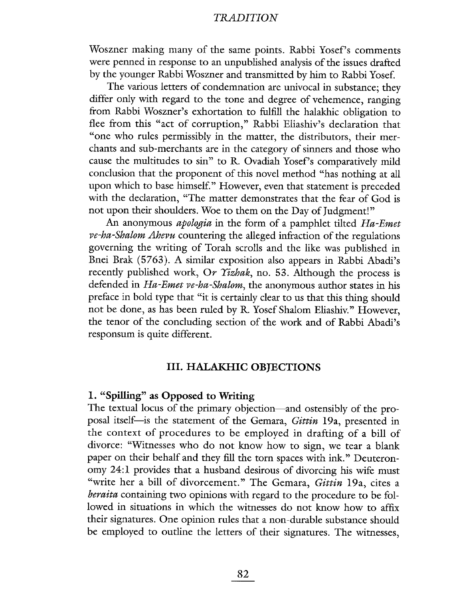Woszner making many of the same points. Rabbi Yosef's comments were penned in response to an unpublished analysis of the issues drafted by the younger Rabbi Woszner and transmitted by him to Rabbi Yosef.

The various letters of condemnation are unvocal in substance; they differ only with regard to the tone and degree of vehemence, ranging from Rabbi Woszner's exhortation to fulfill the halakhic obligation to flee from this "act of corruption," Rabbi Eliashiv's declaration that "one who rules permissibly in the matter, the distributors, their merchants and sub-merchants are in the category of sinners and those who cause the multitudes to sin" to R. Ovadiah Yosef's comparatively mild conclusion that the proponent of this novel method "has nothing at all upon which to base himself." However, even that statement is preceded with the declaration, "The matter demonstrates that the fear of God is not upon their shoulders. Woe to them on the Day of Judgment!"

An anonymous apologia in the form of a pamphlet tilted Ha-Emet ve-ha-Shalom Ahevu countering the alleged infraction of the regulations governing the writing of Torah scrolls and the like was published in Bnei Brak (5763). A similar exposition also appears in Rabbi Abadi's recently published work, Or Yizhak, no. 53. Although the process is defended in Ha-Emet ve-ha-Shalom, the anonymous author states in his preface in bold type that "it is certainly clear to us that this thing should not be done, as has been ruled by R. Yosef Shalom Eliashiv." However, the tenor of the concluding section of the work and of Rabbi Abadi's responsum is quite different.

#### III. HALAKHIC OBJECTIONS

#### 1. "Spilling" as Opposed to Writing

The textual locus of the primary objection—and ostensibly of the proposal itself-is the statement of the Gemara, Gittin 19a, presented in the context of procedures to be employed in drafting of a bill of divorce: "Witnesses who do not know how to sign, we tear a blank paper on their behalf and they fill the torn spaces with ink." Deuteron-0my 24:1 provides that a husband desirous of divorcing his wife must "write her a bill of divorcement." The Gemara, *Gittin* 19a, cites a beraita containing two opinions with regard to the procedure to be followed in situations in which the witnesses do not know how to affix their signatures. One opinion rules that a non-durable substance should be employed to outline the letters of their signatures. The witnesses,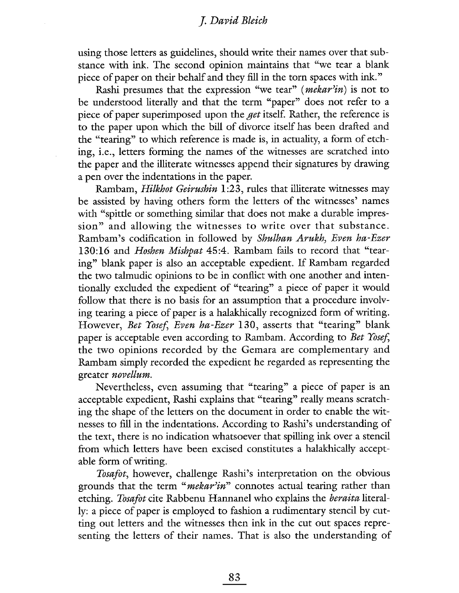using those letters as gudelines, should write their names over that substance with ink. The second opinion maintains that "we tear a blan piece of paper on their behalf and they fill in the torn spaces with ink."

Rashi presumes that the expression "we tear" (*mekar'in*) is not to be understood literaly and that the term "paper" does not refer to a piece of paper superimposed upon the get itself. Rather, the reference is to the paper upon which the bil of divorce itself has been drafted and the "tearing" to which reference is made is, in actualty, a form of etching, i.e., letters forming the names of the witnesses are scratched into the paper and the illiterate witnesses append their signatures by drawing a pen over the indentations in the paper.

Rambam, *Hilkhot Geirushin* 1:23, rules that illiterate witnesses may be assisted by having others form the letters of the witnesses' names with "spittle or something similar that does not make a durable impression" and allowing the witnesses to write over that substance. Rambam's codification in followed by Shulhan Arukh, Even ha-Ezer 130:16 and *Hoshen Mishpat* 45:4. Rambam fails to record that "tearing" blank paper is also an acceptable expedient. If Rambam regarded the two talmudic opinions to be in conflict with one another and intentionally excluded the expedient of "tearing" a piece of paper it would follow that there is no basis for an assumption that a procedure involving tearing a piece of paper is a halakhically recognized form of writing. However, *Bet Yosef*, *Even ha-Ezer* 130, asserts that "tearing" blank paper is acceptable even according to Rambam. According to Bet Yosef, the two opinions recorded by the Gemara are complementary and Rambam simply recorded the expedient he regarded as representing the greater novellum.

Nevertheless, even assuming that "tearing" a piece of paper is an acceptable expedient, Rashi explains that "tearing" really means scratching the shape of the letters on the document in order to enable the witnesses to fill in the indentations. According to Rashi's understanding of the text, there is no indication whatsoever that spillng ink over a stencil from which letters have been excised constitutes a halakhically acceptable form of writig.

Tosafot, however, challenge Rashi's interpretation on the obvious grounds that the term "*mekar'in*" connotes actual tearing rather than etching. Tosafot cite Rabbenu Hannanel who explains the *beraita* literally: a piece of paper is employed to fashion a rudimentary stencil by cutting out letters and the witnesses then ink in the cut out spaces representing the letters of their names. That is also the understanding of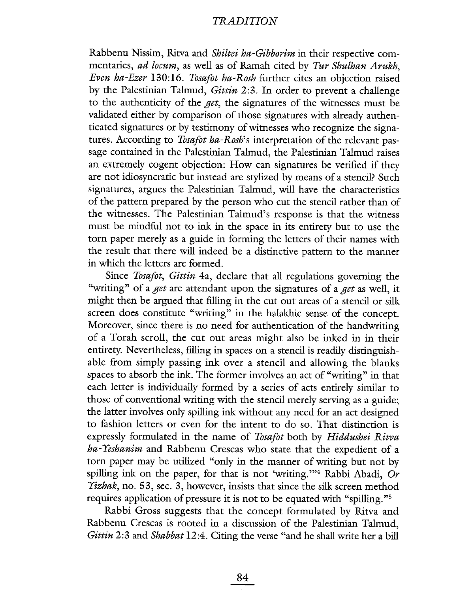Rabbenu Nissim, Ritva and Shiltei ha-Gibborim in their respective commentaries, ad locum, as well as of Ramah cited by Tur Shulhan Arukh, Even ha-Ezer 130:16. Tosafot ha-Rosh further cites an objection raised by the Palestinian Talmud, *Gittin* 2:3. In order to prevent a challenge to the authenticity of the get, the signatures of the witnesses must be valdated either by comparison of those signatures with already authenticated signatures or by testimony of witnesses who recognize the signatures. According to *Tosafot ha-Rosh*'s interpretation of the relevant passage contained in the Palestinian Talmud, the Palestinian Talmud raises an extremely cogent objection: How can signatures be verified if they are not idiosyncratic but instead are stylized by means of a stencil? Such signatures, argues the Palestinian Talmud, will have the characteristics of the pattern prepared by the person who cut the stencil rather than of the witnesses. The Palestinian Talmud's response is that the witness must be mindful not to ink in the space in its entirety but to use the torn paper merely as a guide in forming the letters of their names with the result that there will indeed be a distinctive pattern to the manner in which the letters are formed.

Since Tosafot, Gittin 4a, declare that all regulations governing the "writing" of a get are attendant upon the signatures of a get as well, it might then be argued that filling in the cut out areas of a stencil or silk screen does constitute "writing" in the halakhic sense of the concept. Moreover, since there is no need for authentication of the handwriting of a Torah scroll, the cut out areas might also be inked in in their entirety. Nevertheless, filling in spaces on a stencil is readily distinguishable from simply passing ink over a stencil and allowing the blanks spaces to absorb the ink. The former involves an act of "writing" in that each letter is individually formed by a series of acts entirely similar to those of conventional writing with the stencil merely serving as a gude; the latter involves only spiling ink without any need for an act designed to fashion letters or even for the intent to do so. That distinction is expressly formulated in the name of Tosafot both by Hiddushei Ritva ha-Yèshanim and Rabbenu Crescas who state that the expedient of a torn paper may be utilized "only in the manner of writing but not by spilling ink on the paper, for that is not 'writing.'"<sup>4</sup> Rabbi Abadi, Or Yizhak, no. 53, see. 3, however, insists that since the silk screen method requires application of pressure it is not to be equated with "spilng."5

Rabbi Gross suggests that the concept formulated by Ritva and Rabbenu Crescas is rooted in a discussion of the Palestinian Talmud, Gittin 2:3 and Shabbat 12:4. Citing the verse "and he shall write her a bill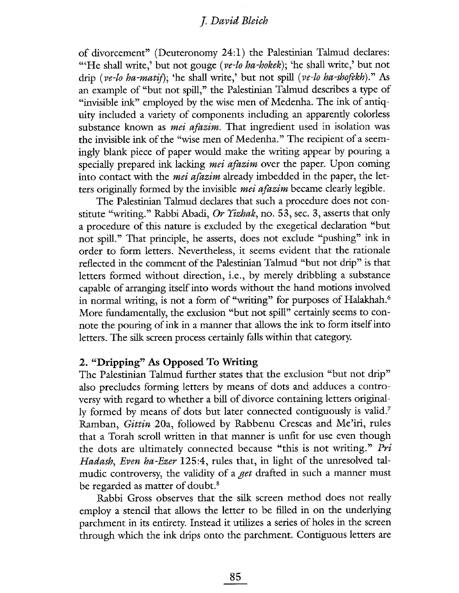of divorcement" (Deuteronomy 24:1) the Palestinian Talmud declares: "'He shall write,' but not gouge ( $ve$ -lo ha-hokek); 'he shall write,' but not drip (ve-lo ha-matif); 'he shall write,' but not spill (ve-lo ha-shofekh)." As an example of "but not spill," the Palestinian Talmud describes a type of "invisible ink" employed by the wise men of Medenha. The ink of antiquity included a variety of components including an apparently colorless substance known as *mei afazim*. That ingredient used in isolation was the invisible ink of the "wise men of Medenha." The recipient of a seemingly blank piece of paper would make the writing appear by pouring a specially prepared ink lacking *mei afazim* over the paper. Upon coming into contact with the *mei afazim* already imbedded in the paper, the letters originally formed by the invisible *mei afazim* became clearly legible.

The Palestinian Talmud declares that such a procedure does not constitute "writing." Rabbi Abadi, Or Yizhak, no. 53, sec. 3, asserts that only a procedure of this nature is excluded by the exegetical declaration "but not spill." That principle, he asserts, does not exclude "pushing" ink in order to form letters. Nevertheless, it seems evident that the rationale reflected in the comment of the Palestinian Talmud "but not drip" is that letters formed without direction, i.e., by merely dribbling a substance capable of arranging itself into words without the hand motions involved in normal writing, is not a form of "writing" for purposes of Halakhah.<sup>6</sup> More fundamentally, the exclusion "but not spill" certainly seems to connote the pouring of ink in a manner that allows the ink to form itself into letters. The silk screen process certainly falls within that category.

#### 2. "Dripping" As Opposed To Writig

The Palestinian Talmud futher states that the exclusion "but not drip" also precludes forming letters by means of dots and adduces a controversy with regard to whether a bil of divorce containing letters originally formed by means of dots but later connected contiguously is vald.7 Ramban, Gittin 20a, followed by Rabbenu Crescas and Me'iri, rules that a Torah scroll written in that manner is unft for use even though the dots are ultimately connected because "this is not writing." Pri Hadash, Even ha-Ezer 125:4, rules that, in light of the unresolved talmudic controversy, the validity of a get drafted in such a manner must be regarded as matter of doubt.<sup>8</sup>

Rabbi Gross observes that the silk screen method does not really employ a stencil that allows the letter to be filled in on the underlying parchment in its entirety. Instead it utilizes a series of holes in the screen through which the ink drips onto the parchment. Contiguous letters are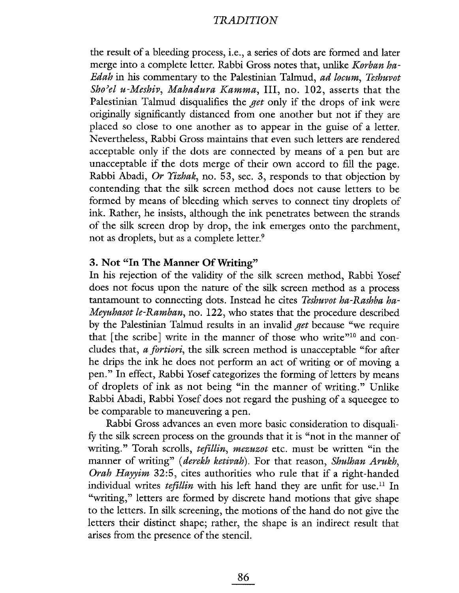the result of a bleedig process, i.e., a series of dots are formed and later merge into a complete letter. Rabbi Gross notes that, unlike Korban ha-Edah in his commentary to the Palestinian Talmud, ad locum, Teshuvot Sho'el u-Meshiv, Mahadura Kamma, III, no. 102, asserts that the Palestinian Talmud disqualifies the *get* only if the drops of ink were originaly significantly distanced from one another but not if they are placed so close to one another as to appear in the guise of a letter. Nevertheless, Rabbi Gross maitains that even such letters are rendered acceptable only if the dots are connected by means of a pen but are unacceptable if the dots merge of their own accord to fill the page. Rabbi Abadi, Or Yizhak, no. 53, sec. 3, responds to that objection by contending that the silk screen method does not cause letters to be formed by means of bleeding which serves to connect tiny droplets of ink. Rather, he insists, although the ink penetrates between the strands of the silk screen drop by drop, the ink emerges onto the parchment, not as droplets, but as a complete letter.<sup>9</sup>

#### 3. Not "In The Manner Of Writing"

In his rejection of the validity of the silk screen method, Rabbi Yosef does not focus upon the nature of the silk screen method as a process tantamount to connecting dots. Instead he cites Teshuvot ha-Rashba ha-Meyuhasot le-Ramban, no. 122, who states that the procedure described by the Palestinian Talmud results in an invalid *get* because "we require that [the scribe] write in the manner of those who write"<sup>10</sup> and concludes that, a fortiori, the silk screen method is unacceptable "for after he drips the ink he does not perform an act of writing or of moving a pen." In effect, Rabbi Yosef categorizes the formig of letters by means of droplets of ink as not being "in the manner of writing." Unlike Rabbi Abadi, Rabbi Yosef does not regard the pushig of a squeegee to be comparable to maneuvering a pen.

Rabbi Gross advances an even more basic consideration to disqualfy the silk screen process on the grounds that it is "not in the manner of writing." Torah scrolls, tefillin, mezuzot etc. must be written "in the manner of writing" (derekh ketivah). For that reason, Shulhan Arukh, Orah Hayyim 32:5, cites authorities who rule that if a right-handed individual writes *tefillin* with his left hand they are unfit for use.<sup>11</sup> In "writing," letters are formed by discrete hand motions that give shape to the letters. In silk screenig, the motions of the hand do not give the letters their distinct shape; rather, the shape is an indirect result that arises from the presence of the stenciL.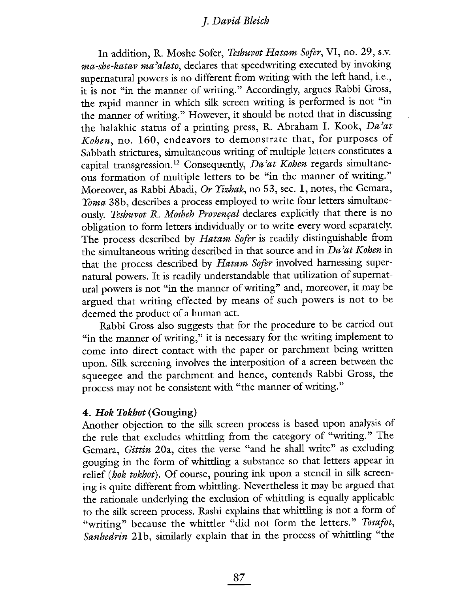In addition, R. Moshe Sofer, Teshuvot Hatam Sofer, VI, no. 29, s.v. ma-she-katav ma'alato, declares that speedwriting executed by invoking supernatural powers is no different from writing with the left hand, i.e., it is not "in the manner of writing." Accordingly, argues Rabbi Gross, the rapid manner in which silk screen writing is performed is not "in the maner of writing." However, it should be noted that in discussing the halakhic status of a printing press, R. Abraham I. Kook, Da'at Kohen, no. 160, endeavors to demonstrate that, for purposes of Sabbath strictures, simultaneous writing of multiple letters constitutes a capital transgression.<sup>12</sup> Consequently, Da'at Kohen regards simultaneous formation of multiple letters to be "in the manner of writing." Moreover, as Rabbi Abadi, Or Yizhak, no 53, sec. 1, notes, the Gemara, Yoma 38b, describes a process employed to write four letters simultaneously. Teshuvot R. Mosheh Provençal declares explicitly that there is no obligation to form letters individualy or to write every word separately. The process described by Hatam Sofer is readily distinguishable from the simultaneous writing described in that source and in  $Da<sup>2</sup>at Kohen$  in that the process described by Hatam Sofer involved harnessing supernatural powers. It is readily understandable that utilization of supernatural powers is not "in the manner of writing" and, moreover, it may be argued that writing effected by means of such powers is not to be deemed the product of a human act.

Rabbi Gross also suggests that for the procedure to be carried out "in the manner of writing," it is necessary for the writing implement to come into direct contact with the paper or parchment being written upon. Silk screening involves the interposition of a screen between the squeegee and the parchment and hence, contends Rabbi Gross, the process may not be consistent with "the manner of writing."

#### 4. Hok Tokhot (Gouging)

Another objection to the silk screen process is based upon analysis of the rule that excludes whittlng from the category of "writing." The Gemara, Gittin 20a, cites the verse "and he shall write" as excluding gouging in the form of whittling a substance so that letters appear in relief (hok tokhot). Of course, pouring ink upon a stencil in silk screening is quite different from whittling. Nevertheless it may be argued that the rationale underlying the exclusion of whittling is equally applicable to the silk screen process. Rashi explains that whittling is not a form of "writing" because the whittler "did not form the letters." Tosafot, Sanhedrin 21b, similarly explain that in the process of whittling "the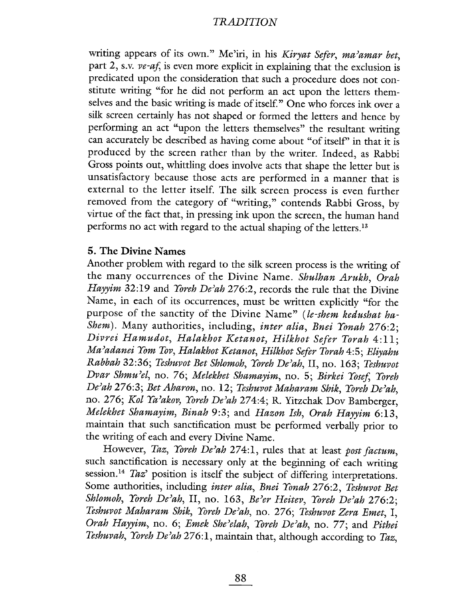writing appears of its own." Me'iri, in his Kiryat Sefer, ma'amar bet, part 2, s.v.  $ve\text{-}af$ , is even more explicit in explaining that the exclusion is predicated upon the consideration that such a procedure does not constitute writing "for he did not perform an act upon the letters themselves and the basic writing is made of itself." One who forces ink over a silk screen certainly has not shaped or formed the letters and hence by performing an act "upon the letters themselves" the resultant writing can accurately be described as having come about "of itself' in that it is produced by the screen rather than by the writer. Indeed, as Rabbi Gross points out, whittling does involve acts that shape the letter but is unsatisfactory because those acts are performed in a manner that is external to the letter itself. The silk screen process is even further removed from the category of "writing," contends Rabbi Gross, by virtue of the fact that, in pressing ink upon the screen, the human hand performs no act with regard to the actual shaping of the letters.<sup>13</sup>

# 5. The Divine Names

Another problem with regard to the silk screen process is the writing of the many occurrences of the Divine Name. Shulhan Arukh, Orah Hayyim 32:19 and Yoreh De'ah 276:2, records the rule that the Divine Name, in each of its occurrences, must be written explicitly "for the purpose of the sanctity of the Divine Name" (le-shem kedushat ha-Shem). Many authorities, including, inter alia, Bnei Yonah 276:2; Divrei Hamudot, Halakhot Ketanot, Hilkhot Sefer Torah 4:11; Ma'adanei Yom Tov, Halakhot Ketanot, Hilkhot Sefer Torah 4:5; Eliyahu Rabbah 32:36; Teshuvot Bet Shlomoh, Yoreh De'ah, II, no. 163; Teshuvot Dvar Shmu'el, no. 76; Melekhet Shamayim, no. 5; Birkei Yosef, Yoreh De'ah 276:3; Bet Aharon, no. 12; Teshuvot Maharam Shik, Yoreh De'ah, no. 276; Kol Ya'akov, Yoreh De'ah 274:4; R. Yitzchak Dov Bamberger, Melekhet Shamayim, Binah 9:3; and Hazon Ish, Orah Hayyim 6:13, maitain that such sanctification must be performed verbally prior to the writing of each and every Divine Name.

However, Taz, Yoreh De'ah 274:1, rules that at least post factum, such sanctification is necessary only at the beginning of each writing session.<sup>14</sup> Taz' position is itself the subject of differing interpretations. Some authorities, including inter alia, Bnei Yonah 276:2, Teshuvot Bet Shlomoh, Yoreh De'ah, II, no. 163, Be'er Heitev, Yoreh De'ah 276:2; Teshuvot Maharam Shik, Yoreh De'ah, no. 276; Teshuvot Zera Emet, I, Orah Hayyim, no. 6; Emek She'elah, Yoreh De'ah, no. 77; and Pithei Teshuvah, Yoreh De'ah 276:1, maintain that, although according to Taz,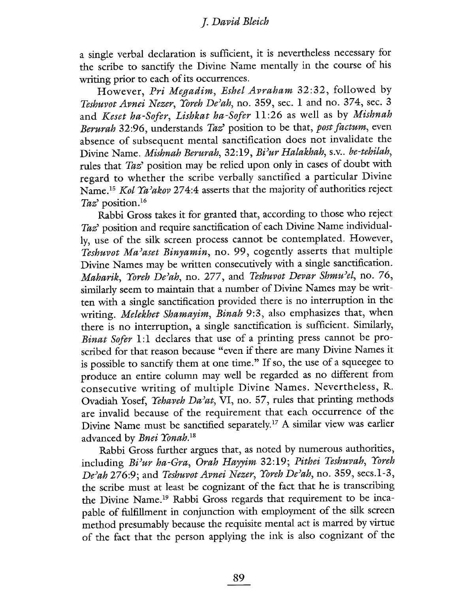a single verbal declaration is sufficient, it is nevertheless necessary for the scribe to sanctify the Divine Name mentally in the course of his writing prior to each of its occurrences.

However, Pri Megadim, Eshel Avraham 32:32, followed by Teshuvot Avnei Nezer, Yoreh De'ah, no. 359, sec. 1 and no. 374, sec. 3 and Keset ha-Sofer, Lishkat ha-Sofer 11:26 as well as by Mishnah Berurah 32:96, understands Taz' position to be that, post factum, even absence of subsequent mental sanctification does not invalidate the Divine Name. Mishnah Berurah, 32:19, Bi'ur Halakhah, s.v.. be-tehilah, rules that Taz' position may be relied upon only in cases of doubt with regard to whether the scribe verbally sanctified a particular Divine Name.<sup>15</sup> Kol Ya'akov 274:4 asserts that the majority of authorities reject Taz' position.<sup>16</sup>

Rabbi Gross takes it for granted that, according to those who reject Taz' position and require sanctification of each Divine Name individually, use of the silk screen process cannot be contemplated. However, Teshuvot Ma'aset Binyamin, no. 99, cogently asserts that multiple Divine Names may be written consecutively with a single sanctification. Maharik, Yoreh De'ah, no. 277, and Teshuvot Devar Shmu'el, no. 76, similarly seem to maintain that a number of Divine Names may be written with a single sanctification provided there is no interruption in the writing. Melekhet Shamayim, Binah 9:3, also emphasizes that, when there is no interruption, a single sanctification is sufficient. Similarly, Binat Sofer 1:1 declares that use of a printing press cannot be proscribed for that reason because "even if there are many Divine Names it is possible to sanctify them at one time." If so, the use of a squeegee to produce an entire column may well be regarded as no different from consecutive writing of multiple Divine Names. Nevertheless, R. Ovadiah Yosef, Yehaveh Da'at, VI, no. 57, rules that printing methods are invalid because of the requirement that each occurrence of the Divine Name must be sanctified separately.17 A similar view was earlier advanced by Bnei Yonah.<sup>18</sup>

Rabbi Gross further argues that, as noted by numerous authorities, including Bi'ur ha-Gra, Orah Hayyim 32:19; Pithei Teshuvah, Yoreh De'ah 276:9; and Teshuvot Avnei Nezer, Yoreh De'ah, no. 359, secs.1-3, the scribe must at least be cognizant of the fact that he is transcribing the Divine Name.<sup>19</sup> Rabbi Gross regards that requirement to be incapable of fulfillment in conjunction with employment of the silk screen method presumably because the requisite mental act is marred by virtue of the fact that the person applying the ink is also cognizant of the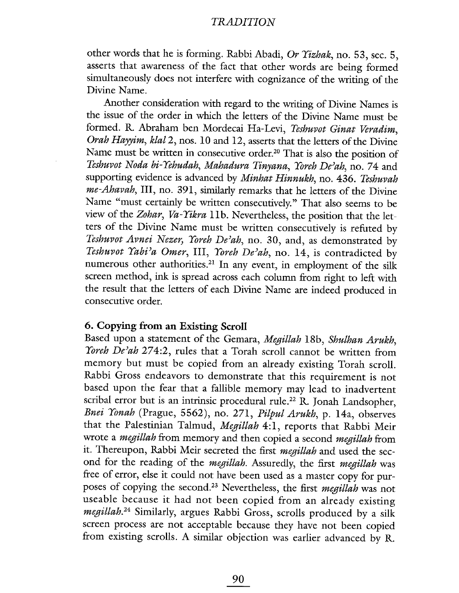other words that he is forming. Rabbi Abadi, Or Yizhak, no. 53, sec. 5, asserts that awareness of the fact that other words are being formed simultaneously does not interfere with cognizance of the writing of the Divine Name.

Another consideration with regard to the writing of Divine Names is the issue of the order in which the letters of the Divine Name must be formed. R. Abraham ben Mordecai Ha- Levi, Teshuvot Ginat Veradim, Orah Hayyim, klal 2, nos. 10 and 12, asserts that the letters of the Divine Name must be written in consecutive order.<sup>20</sup> That is also the position of Teshuvot Noda bi-Yehudah, Mahadura Tinyana, Yoreh De'ah, no. 74 and supporting evidence is advanced by Minhat Hinnukh, no. 436. Teshuvah me-Ahavah, III, no. 391, similarly remarks that he letters of the Divine Name "must certainly be written consecutively." That also seems to be view of the Zohar, Va-Yikra 11b. Nevertheless, the position that the letters of the Divine Name must be written consecutively is refuted by Teshuvot Avnei Nezer, Yoreh De'ah, no. 30, and, as demonstrated by Teshuvot Yabi'a Omer, III, Yoreh De'ah, no. 14, is contradicted by numerous other authorities.21 In any event, in employment of the silk screen method, ink is spread across each column from right to left with the result that the letters of each Divine Name are indeed produced in consecutive order.

# 6. Copying from an Existig Scroll

Based upon a statement of the Gemara, Megillah 18b, Shulhan Arukh, Yoreh De'ah 274:2, rules that a Torah scroll cannot be written from memory but must be copied from an already existing Torah scrolL. Rabbi Gross endeavors to demonstrate that this requirement is not based upon the fear that a fallible memory may lead to inadvertent scribal error but is an intrinsic procedural rule.<sup>22</sup> R. Jonah Landsopher, Bnei Yonah (Prague, 5562), no. 271, Pilpul Arukh, p. 14a, observes that the Palestinian Talmud, Megillah 4:1, reports that Rabbi Meir wrote a megillah from memory and then copied a second megillah from it. Thereupon, Rabbi Meir secreted the first megillah and used the second for the reading of the megillah. Assuredly, the first megillah was free of error, else it could not have been used as a master copy for purposes of copying the second.23 Nevertheless, the first megillah was not useable because it had not been copied from an already existing megillah.<sup>24</sup> Similarly, argues Rabbi Gross, scrolls produced by a silk screen process are not acceptable because they have not been copied from existing scrolls. A similar objection was earlier advanced by R.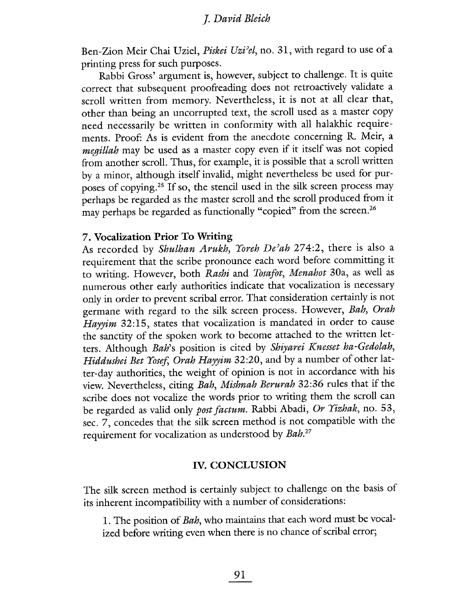Ben-Zion Meir Chai Uziel, Piskei Uzi'el, no. 31, with regard to use of a printing press for such purposes.

Rabbi Gross' argument is, however, subject to challenge. It is quite correct that subsequent proofreading does not retroactively validate a scroll written from memory. Nevertheless, it is not at all clear that, other than being an uncorrupted text, the scroll used as a master copy need necessarily be written in conformity with all halakhic requirements. Proof: As is evident from the anecdote concerning R. Meir, a megillah may be used as a master copy even if it itself was not copied from another scroll. Thus, for example, it is possible that a scroll written by a minor, although itself invalid, might nevertheless be used for purposes of copying.<sup>25</sup> If so, the stencil used in the silk screen process may perhaps be regarded as the master scroll and the scroll produced from it may perhaps be regarded as functionally "copied" from the screen.<sup>26</sup>

#### 7. Vocalization Prior To Writig

As recorded by Shulhan Arukh, Yoreh De'ah 274:2, there is also a requirement that the scribe pronounce each word before committing it to writing. However, both Rashi and Tosafot, Menahot 30a, as well as numerous other early authorities indicate that vocalization is necessary only in order to prevent scribal error. That consideration certainly is not germane with regard to the silk screen process. However, Bah, Orah Hayyim 32:15, states that vocalization is mandated in order to cause the sanctity of the spoken work to become attached to the written letters. Although Bah's position is cited by Shiyarei Knesset ha-Gedolah, Hiddushei Bet Yosef, Orah Hayyim 32:20, and by a number of other latter-day authorities, the weight of opinion is not in accordance with his view. Nevertheless, citing Bah, Mishnah Berurah 32:36 rules that if the scribe does not vocalize the words prior to writing them the scroll can be regarded as valid only post factum. Rabbi Abadi, Or Yizhak, no. 53, sec. 7, concedes that the silk screen method is not compatible with the requirement for vocalization as understood by Bah.<sup>27</sup>

#### IV. CONCLUSION

The silk screen method is certainly subject to challenge on the basis of its inherent incompatibility with a number of considerations:

1. The position of Bah, who maintains that each word must be vocalized before wrting even when there is no chance of scribal error;